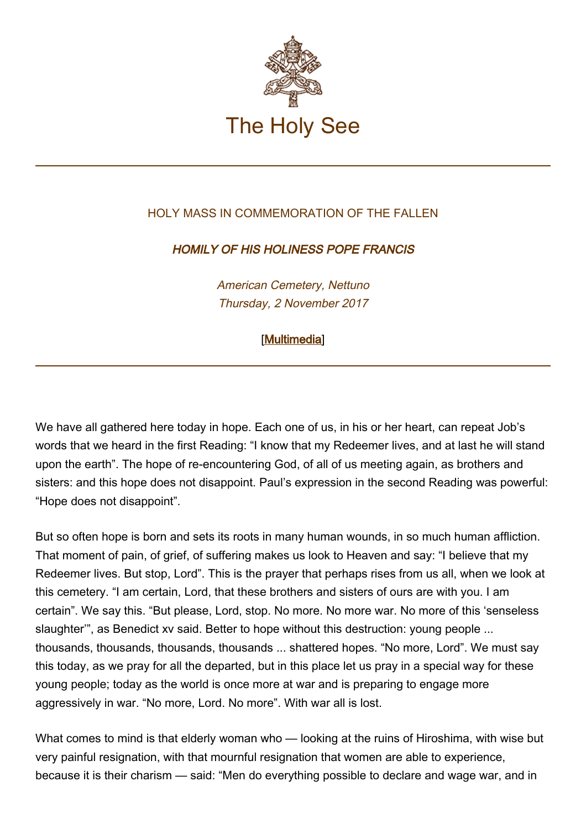

## HOLY MASS IN COMMEMORATION OF THE FALLEN.

## HOMILY OF HIS HOLINESS POPE FRANCIS

American Cemetery, Nettuno Thursday, 2 November 2017

## [\[Multimedia](http://w2.vatican.va/content/francesco/en/events/event.dir.html/content/vaticanevents/en/2017/11/2/messa-defunti.html)]

We have all gathered here today in hope. Each one of us, in his or her heart, can repeat Job's words that we heard in the first Reading: "I know that my Redeemer lives, and at last he will stand upon the earth". The hope of re-encountering God, of all of us meeting again, as brothers and sisters: and this hope does not disappoint. Paul's expression in the second Reading was powerful: "Hope does not disappoint".

But so often hope is born and sets its roots in many human wounds, in so much human affliction. That moment of pain, of grief, of suffering makes us look to Heaven and say: "I believe that my Redeemer lives. But stop, Lord". This is the prayer that perhaps rises from us all, when we look at this cemetery. "I am certain, Lord, that these brothers and sisters of ours are with you. I am certain". We say this. "But please, Lord, stop. No more. No more war. No more of this 'senseless slaughter'", as Benedict xv said. Better to hope without this destruction: young people ... thousands, thousands, thousands, thousands ... shattered hopes. "No more, Lord". We must say this today, as we pray for all the departed, but in this place let us pray in a special way for these young people; today as the world is once more at war and is preparing to engage more aggressively in war. "No more, Lord. No more". With war all is lost.

What comes to mind is that elderly woman who — looking at the ruins of Hiroshima, with wise but very painful resignation, with that mournful resignation that women are able to experience, because it is their charism — said: "Men do everything possible to declare and wage war, and in